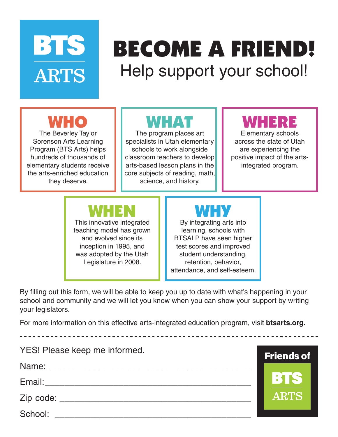# BTS **ARTS**

## BECOME A FRIEND! Help support your school!

WHO

The Beverley Taylor Sorenson Arts Learning Program (BTS Arts) helps hundreds of thousands of elementary students receive the arts-enriched education they deserve.

#### WHAT

The program places art specialists in Utah elementary schools to work alongside classroom teachers to develop arts-based lesson plans in the core subjects of reading, math, science, and history.

#### WHERE

Elementary schools across the state of Utah are experiencing the positive impact of the artsintegrated program.

**Friends of** 

**BIS** 

**ARTS** 

#### WHEN

This innovative integrated teaching model has grown and evolved since its inception in 1995, and was adopted by the Utah Legislature in 2008.

#### WHY

By integrating arts into learning, schools with BTSALP have seen higher test scores and improved student understanding, retention, behavior, attendance, and self-esteem.

By filling out this form, we will be able to keep you up to date with what's happening in your school and community and we will let you know when you can show your support by writing your legislators.

For more information on this effective arts-integrated education program, visit **btsarts.org.**

YES! Please keep me informed.

Name: \_\_\_\_\_\_\_\_\_\_\_\_\_\_\_\_\_\_\_\_\_\_\_\_\_\_\_\_\_\_\_\_\_\_\_\_\_\_\_\_\_

Email: \_\_\_\_\_\_\_\_\_\_\_\_\_\_\_\_\_\_\_\_\_\_\_\_\_\_\_\_\_\_\_\_\_\_\_\_\_\_\_\_\_\_

Zip code: \_\_\_\_\_\_\_\_\_\_\_\_\_\_\_\_\_\_\_\_\_\_\_\_\_\_\_\_\_\_\_\_\_\_\_\_\_\_\_

School: \_\_\_\_\_\_\_\_\_\_\_\_\_\_\_\_\_\_\_\_\_\_\_\_\_\_\_\_\_\_\_\_\_\_\_\_\_\_\_\_